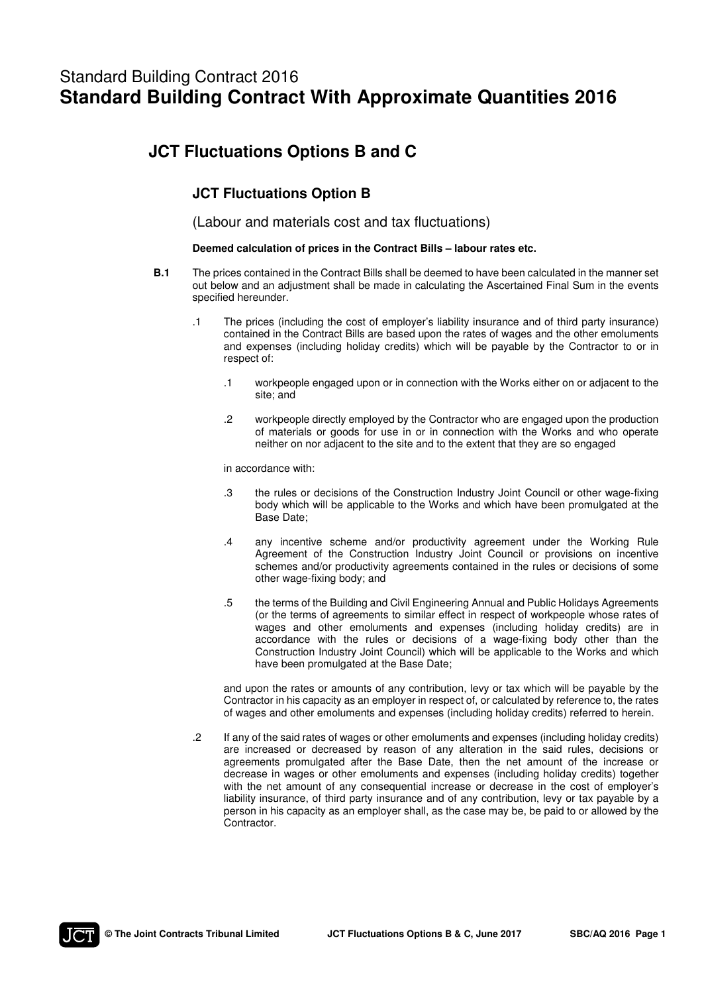# Standard Building Contract 2016 **Standard Building Contract With Approximate Quantities 2016**

# **JCT Fluctuations Options B and C**

# **JCT Fluctuations Option B**

(Labour and materials cost and tax fluctuations)

## **Deemed calculation of prices in the Contract Bills – labour rates etc.**

- **B.1** The prices contained in the Contract Bills shall be deemed to have been calculated in the manner set out below and an adjustment shall be made in calculating the Ascertained Final Sum in the events specified hereunder.
	- .1 The prices (including the cost of employer's liability insurance and of third party insurance) contained in the Contract Bills are based upon the rates of wages and the other emoluments and expenses (including holiday credits) which will be payable by the Contractor to or in respect of:
		- .1 workpeople engaged upon or in connection with the Works either on or adjacent to the site; and
		- .2 workpeople directly employed by the Contractor who are engaged upon the production of materials or goods for use in or in connection with the Works and who operate neither on nor adjacent to the site and to the extent that they are so engaged

in accordance with:

- .3 the rules or decisions of the Construction Industry Joint Council or other wage-fixing body which will be applicable to the Works and which have been promulgated at the Base Date;
- .4 any incentive scheme and/or productivity agreement under the Working Rule Agreement of the Construction Industry Joint Council or provisions on incentive schemes and/or productivity agreements contained in the rules or decisions of some other wage-fixing body; and
- .5 the terms of the Building and Civil Engineering Annual and Public Holidays Agreements (or the terms of agreements to similar effect in respect of workpeople whose rates of wages and other emoluments and expenses (including holiday credits) are in accordance with the rules or decisions of a wage-fixing body other than the Construction Industry Joint Council) which will be applicable to the Works and which have been promulgated at the Base Date;

 and upon the rates or amounts of any contribution, levy or tax which will be payable by the Contractor in his capacity as an employer in respect of, or calculated by reference to, the rates of wages and other emoluments and expenses (including holiday credits) referred to herein.

 .2 If any of the said rates of wages or other emoluments and expenses (including holiday credits) are increased or decreased by reason of any alteration in the said rules, decisions or agreements promulgated after the Base Date, then the net amount of the increase or decrease in wages or other emoluments and expenses (including holiday credits) together with the net amount of any consequential increase or decrease in the cost of employer's liability insurance, of third party insurance and of any contribution, levy or tax payable by a person in his capacity as an employer shall, as the case may be, be paid to or allowed by the Contractor.

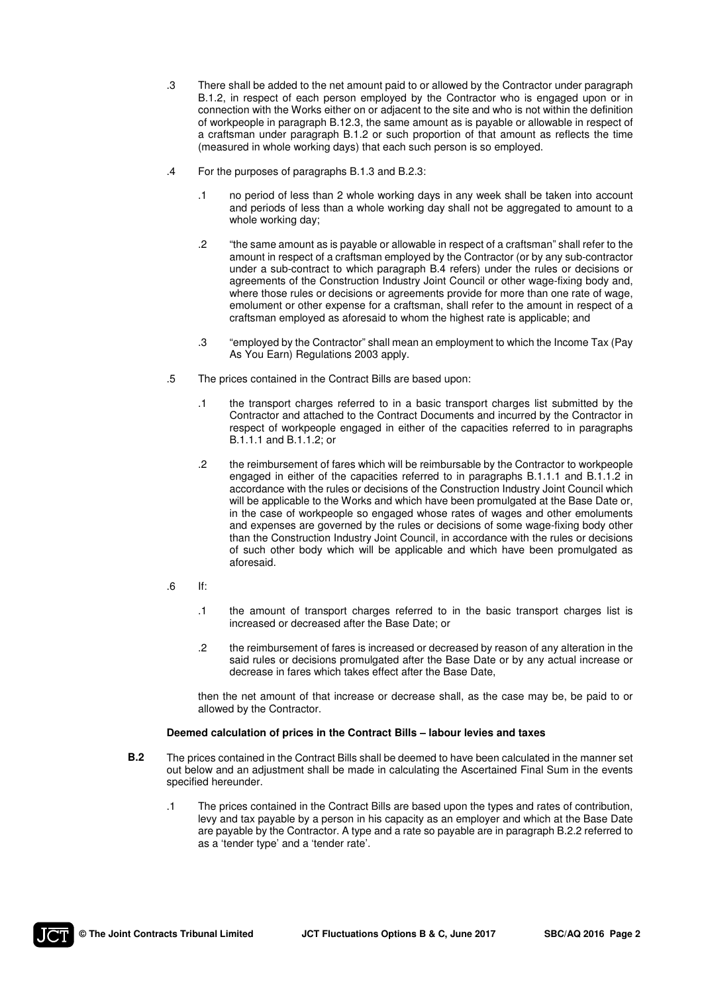- .3 There shall be added to the net amount paid to or allowed by the Contractor under paragraph B.1.2, in respect of each person employed by the Contractor who is engaged upon or in connection with the Works either on or adjacent to the site and who is not within the definition of workpeople in paragraph B.12.3, the same amount as is payable or allowable in respect of a craftsman under paragraph B.1.2 or such proportion of that amount as reflects the time (measured in whole working days) that each such person is so employed.
- .4 For the purposes of paragraphs B.1.3 and B.2.3:
	- .1 no period of less than 2 whole working days in any week shall be taken into account and periods of less than a whole working day shall not be aggregated to amount to a whole working day;
	- .2 "the same amount as is payable or allowable in respect of a craftsman" shall refer to the amount in respect of a craftsman employed by the Contractor (or by any sub-contractor under a sub-contract to which paragraph B.4 refers) under the rules or decisions or agreements of the Construction Industry Joint Council or other wage-fixing body and, where those rules or decisions or agreements provide for more than one rate of wage, emolument or other expense for a craftsman, shall refer to the amount in respect of a craftsman employed as aforesaid to whom the highest rate is applicable; and
	- .3 "employed by the Contractor" shall mean an employment to which the Income Tax (Pay As You Earn) Regulations 2003 apply.
- .5 The prices contained in the Contract Bills are based upon:
	- .1 the transport charges referred to in a basic transport charges list submitted by the Contractor and attached to the Contract Documents and incurred by the Contractor in respect of workpeople engaged in either of the capacities referred to in paragraphs B.1.1.1 and B.1.1.2; or
	- .2 the reimbursement of fares which will be reimbursable by the Contractor to workpeople engaged in either of the capacities referred to in paragraphs B.1.1.1 and B.1.1.2 in accordance with the rules or decisions of the Construction Industry Joint Council which will be applicable to the Works and which have been promulgated at the Base Date or, in the case of workpeople so engaged whose rates of wages and other emoluments and expenses are governed by the rules or decisions of some wage-fixing body other than the Construction Industry Joint Council, in accordance with the rules or decisions of such other body which will be applicable and which have been promulgated as aforesaid.
- $\blacksquare$ .6 If:
	- .1 the amount of transport charges referred to in the basic transport charges list is increased or decreased after the Base Date; or
	- .2 the reimbursement of fares is increased or decreased by reason of any alteration in the said rules or decisions promulgated after the Base Date or by any actual increase or decrease in fares which takes effect after the Base Date,

 then the net amount of that increase or decrease shall, as the case may be, be paid to or allowed by the Contractor.

#### **Deemed calculation of prices in the Contract Bills – labour levies and taxes**

- **B.2** The prices contained in the Contract Bills shall be deemed to have been calculated in the manner set out below and an adjustment shall be made in calculating the Ascertained Final Sum in the events specified hereunder.
	- .1 The prices contained in the Contract Bills are based upon the types and rates of contribution, levy and tax payable by a person in his capacity as an employer and which at the Base Date are payable by the Contractor. A type and a rate so payable are in paragraph B.2.2 referred to as a 'tender type' and a 'tender rate'.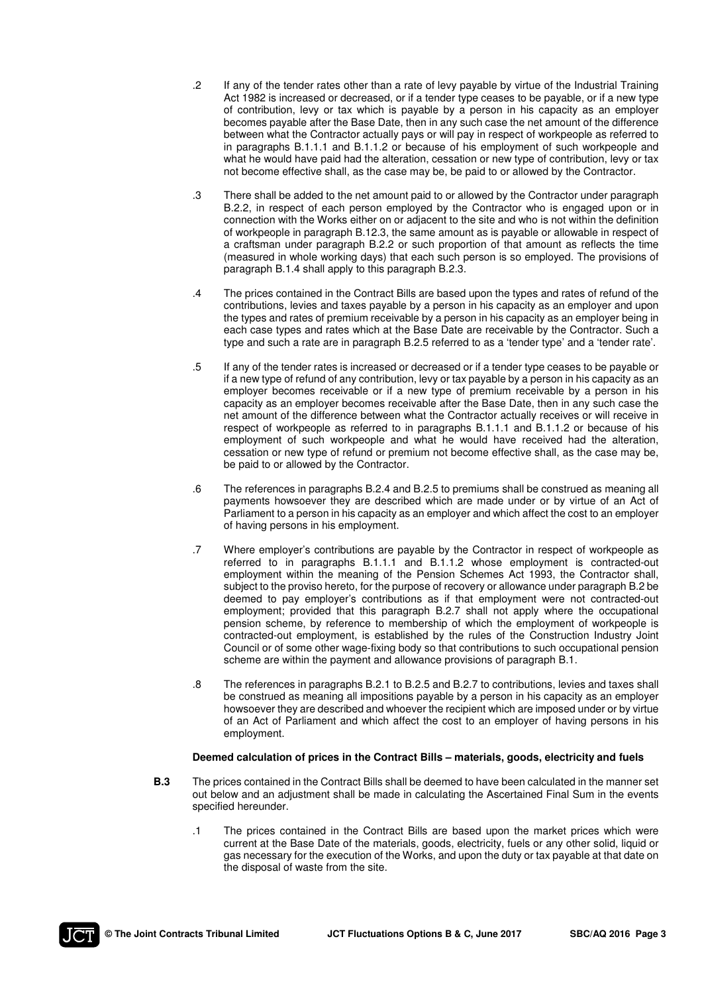- .2 If any of the tender rates other than a rate of levy payable by virtue of the Industrial Training Act 1982 is increased or decreased, or if a tender type ceases to be payable, or if a new type of contribution, levy or tax which is payable by a person in his capacity as an employer becomes payable after the Base Date, then in any such case the net amount of the difference between what the Contractor actually pays or will pay in respect of workpeople as referred to in paragraphs B.1.1.1 and B.1.1.2 or because of his employment of such workpeople and what he would have paid had the alteration, cessation or new type of contribution, levy or tax not become effective shall, as the case may be, be paid to or allowed by the Contractor.
- .3 There shall be added to the net amount paid to or allowed by the Contractor under paragraph B.2.2, in respect of each person employed by the Contractor who is engaged upon or in connection with the Works either on or adjacent to the site and who is not within the definition of workpeople in paragraph B.12.3, the same amount as is payable or allowable in respect of a craftsman under paragraph B.2.2 or such proportion of that amount as reflects the time (measured in whole working days) that each such person is so employed. The provisions of paragraph B.1.4 shall apply to this paragraph B.2.3.
- .4 The prices contained in the Contract Bills are based upon the types and rates of refund of the contributions, levies and taxes payable by a person in his capacity as an employer and upon the types and rates of premium receivable by a person in his capacity as an employer being in each case types and rates which at the Base Date are receivable by the Contractor. Such a type and such a rate are in paragraph B.2.5 referred to as a 'tender type' and a 'tender rate'.
- .5 If any of the tender rates is increased or decreased or if a tender type ceases to be payable or if a new type of refund of any contribution, levy or tax payable by a person in his capacity as an employer becomes receivable or if a new type of premium receivable by a person in his capacity as an employer becomes receivable after the Base Date, then in any such case the net amount of the difference between what the Contractor actually receives or will receive in respect of workpeople as referred to in paragraphs B.1.1.1 and B.1.1.2 or because of his employment of such workpeople and what he would have received had the alteration, cessation or new type of refund or premium not become effective shall, as the case may be, be paid to or allowed by the Contractor.
- .6 The references in paragraphs B.2.4 and B.2.5 to premiums shall be construed as meaning all payments howsoever they are described which are made under or by virtue of an Act of Parliament to a person in his capacity as an employer and which affect the cost to an employer of having persons in his employment.
- .7 Where employer's contributions are payable by the Contractor in respect of workpeople as referred to in paragraphs B.1.1.1 and B.1.1.2 whose employment is contracted-out employment within the meaning of the Pension Schemes Act 1993, the Contractor shall, subject to the proviso hereto, for the purpose of recovery or allowance under paragraph B.2 be deemed to pay employer's contributions as if that employment were not contracted-out employment; provided that this paragraph B.2.7 shall not apply where the occupational pension scheme, by reference to membership of which the employment of workpeople is contracted-out employment, is established by the rules of the Construction Industry Joint Council or of some other wage-fixing body so that contributions to such occupational pension scheme are within the payment and allowance provisions of paragraph B.1.
- .8 The references in paragraphs B.2.1 to B.2.5 and B.2.7 to contributions, levies and taxes shall be construed as meaning all impositions payable by a person in his capacity as an employer howsoever they are described and whoever the recipient which are imposed under or by virtue of an Act of Parliament and which affect the cost to an employer of having persons in his employment.

#### **Deemed calculation of prices in the Contract Bills – materials, goods, electricity and fuels**

- **B.3** The prices contained in the Contract Bills shall be deemed to have been calculated in the manner set out below and an adjustment shall be made in calculating the Ascertained Final Sum in the events specified hereunder.
	- .1 The prices contained in the Contract Bills are based upon the market prices which were current at the Base Date of the materials, goods, electricity, fuels or any other solid, liquid or gas necessary for the execution of the Works, and upon the duty or tax payable at that date on the disposal of waste from the site.

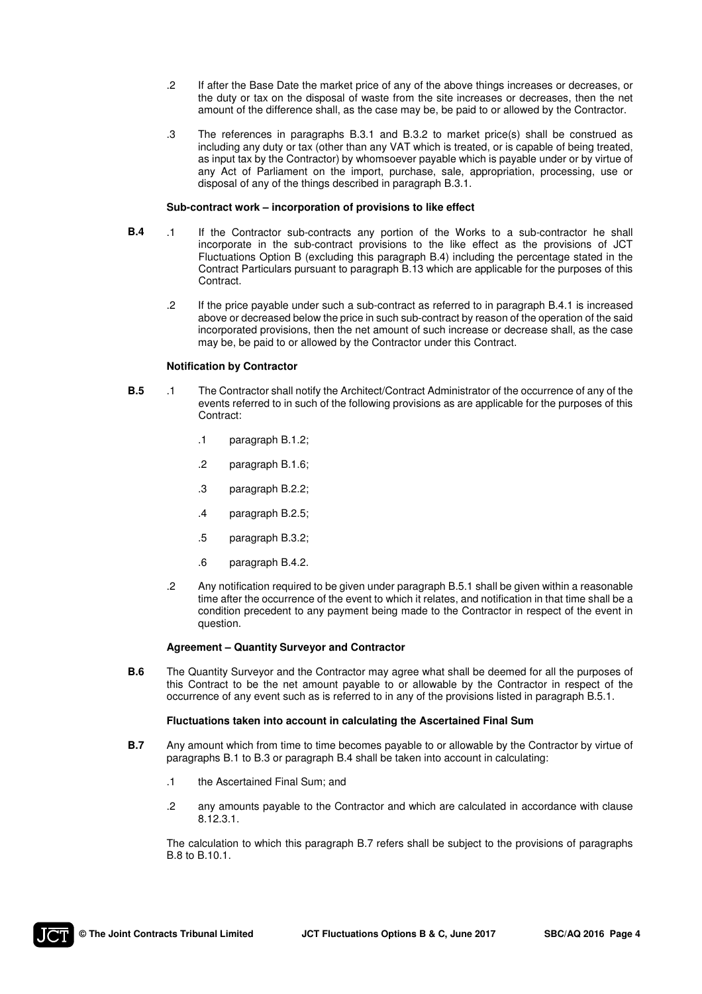- .2 If after the Base Date the market price of any of the above things increases or decreases, or the duty or tax on the disposal of waste from the site increases or decreases, then the net amount of the difference shall, as the case may be, be paid to or allowed by the Contractor.
- .3 The references in paragraphs B.3.1 and B.3.2 to market price(s) shall be construed as including any duty or tax (other than any VAT which is treated, or is capable of being treated, as input tax by the Contractor) by whomsoever payable which is payable under or by virtue of any Act of Parliament on the import, purchase, sale, appropriation, processing, use or disposal of any of the things described in paragraph B.3.1.

#### **Sub-contract work – incorporation of provisions to like effect**

- **B.4** .1 If the Contractor sub-contracts any portion of the Works to a sub-contractor he shall incorporate in the sub-contract provisions to the like effect as the provisions of JCT Fluctuations Option B (excluding this paragraph B.4) including the percentage stated in the Contract Particulars pursuant to paragraph B.13 which are applicable for the purposes of this Contract.
	- .2 If the price payable under such a sub-contract as referred to in paragraph B.4.1 is increased above or decreased below the price in such sub-contract by reason of the operation of the said incorporated provisions, then the net amount of such increase or decrease shall, as the case may be, be paid to or allowed by the Contractor under this Contract.

#### **Notification by Contractor**

- **B.5** .1 The Contractor shall notify the Architect/Contract Administrator of the occurrence of any of the events referred to in such of the following provisions as are applicable for the purposes of this Contract:
	- .1 paragraph B.1.2;
	- .2 paragraph B.1.6;
	- .3 paragraph B.2.2;
	- .4 paragraph B.2.5;
	- .5 paragraph B.3.2;
	- .6 paragraph B.4.2.
	- .2 Any notification required to be given under paragraph B.5.1 shall be given within a reasonable time after the occurrence of the event to which it relates, and notification in that time shall be a condition precedent to any payment being made to the Contractor in respect of the event in question.

#### **Agreement – Quantity Surveyor and Contractor**

**B.6** The Quantity Surveyor and the Contractor may agree what shall be deemed for all the purposes of this Contract to be the net amount payable to or allowable by the Contractor in respect of the occurrence of any event such as is referred to in any of the provisions listed in paragraph B.5.1.

#### **Fluctuations taken into account in calculating the Ascertained Final Sum**

- **B.7** Any amount which from time to time becomes payable to or allowable by the Contractor by virtue of paragraphs B.1 to B.3 or paragraph B.4 shall be taken into account in calculating:
	- .1 the Ascertained Final Sum; and
	- .2 any amounts payable to the Contractor and which are calculated in accordance with clause 8.12.3.1.

 The calculation to which this paragraph B.7 refers shall be subject to the provisions of paragraphs B.8 to B.10.1.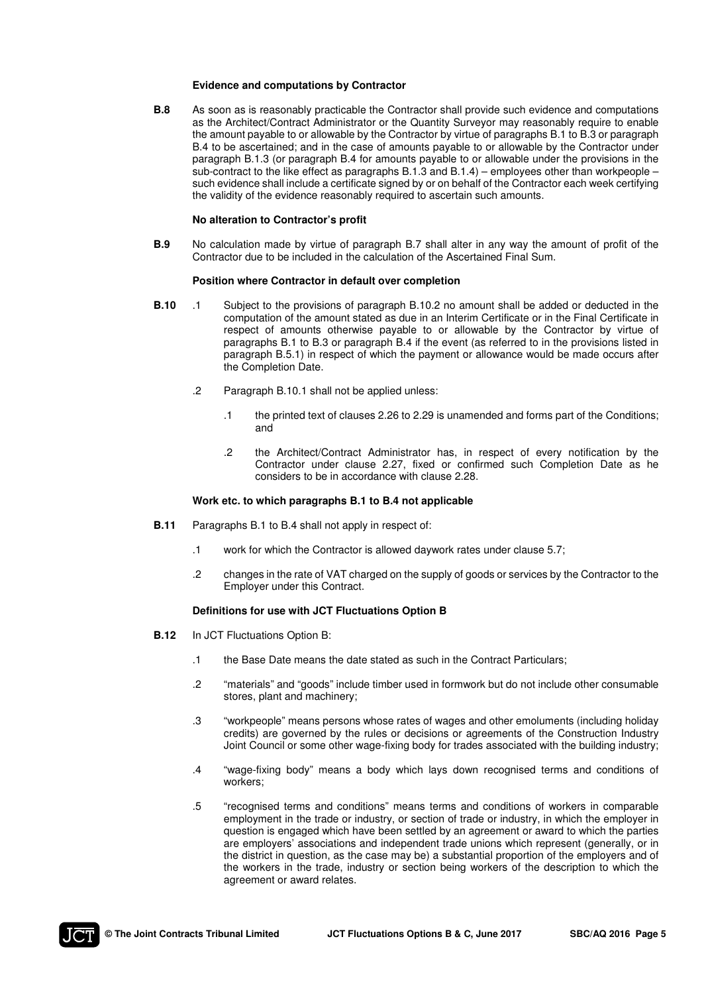#### **Evidence and computations by Contractor**

**B.8** As soon as is reasonably practicable the Contractor shall provide such evidence and computations as the Architect/Contract Administrator or the Quantity Surveyor may reasonably require to enable the amount payable to or allowable by the Contractor by virtue of paragraphs B.1 to B.3 or paragraph B.4 to be ascertained; and in the case of amounts payable to or allowable by the Contractor under paragraph B.1.3 (or paragraph B.4 for amounts payable to or allowable under the provisions in the sub-contract to the like effect as paragraphs B.1.3 and B.1.4) – employees other than workpeople – such evidence shall include a certificate signed by or on behalf of the Contractor each week certifying the validity of the evidence reasonably required to ascertain such amounts.

#### **No alteration to Contractor's profit**

**B.9** No calculation made by virtue of paragraph B.7 shall alter in any way the amount of profit of the Contractor due to be included in the calculation of the Ascertained Final Sum.

#### **Position where Contractor in default over completion**

- **B.10** .1 Subject to the provisions of paragraph B.10.2 no amount shall be added or deducted in the computation of the amount stated as due in an Interim Certificate or in the Final Certificate in respect of amounts otherwise payable to or allowable by the Contractor by virtue of paragraphs B.1 to B.3 or paragraph B.4 if the event (as referred to in the provisions listed in paragraph B.5.1) in respect of which the payment or allowance would be made occurs after the Completion Date.
	- .2 Paragraph B.10.1 shall not be applied unless:
		- .1 the printed text of clauses 2.26 to 2.29 is unamended and forms part of the Conditions; and
		- .2 the Architect/Contract Administrator has, in respect of every notification by the Contractor under clause 2.27, fixed or confirmed such Completion Date as he considers to be in accordance with clause 2.28.

#### **Work etc. to which paragraphs B.1 to B.4 not applicable**

- **B.11** Paragraphs B.1 to B.4 shall not apply in respect of:
	- .1 work for which the Contractor is allowed daywork rates under clause 5.7;
	- .2 changes in the rate of VAT charged on the supply of goods or services by the Contractor to the Employer under this Contract.

#### **Definitions for use with JCT Fluctuations Option B**

- **B.12** In JCT Fluctuations Option B:
	- .1 the Base Date means the date stated as such in the Contract Particulars;
	- .2 "materials" and "goods" include timber used in formwork but do not include other consumable stores, plant and machinery;
	- .3 "workpeople" means persons whose rates of wages and other emoluments (including holiday credits) are governed by the rules or decisions or agreements of the Construction Industry Joint Council or some other wage-fixing body for trades associated with the building industry;
	- .4 "wage-fixing body" means a body which lays down recognised terms and conditions of workers;
	- .5 "recognised terms and conditions" means terms and conditions of workers in comparable employment in the trade or industry, or section of trade or industry, in which the employer in question is engaged which have been settled by an agreement or award to which the parties are employers' associations and independent trade unions which represent (generally, or in the district in question, as the case may be) a substantial proportion of the employers and of the workers in the trade, industry or section being workers of the description to which the agreement or award relates.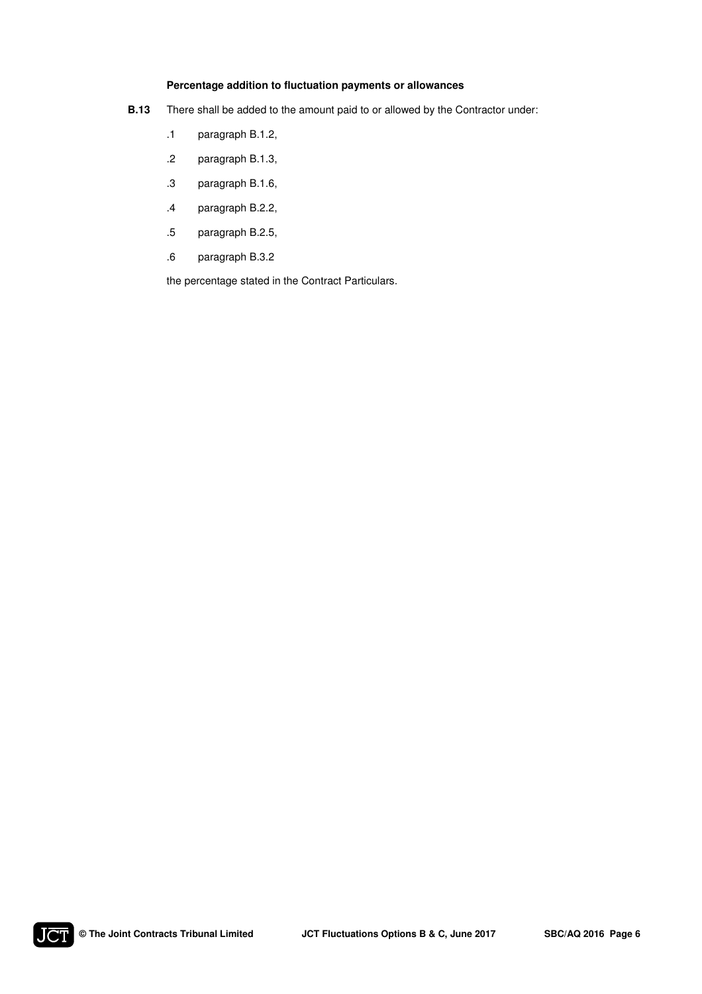## **Percentage addition to fluctuation payments or allowances**

- **B.13** There shall be added to the amount paid to or allowed by the Contractor under:
	- .1 paragraph B.1.2,
	- .2 paragraph B.1.3,
	- .3 paragraph B.1.6,
	- .4 paragraph B.2.2,
	- .5 paragraph B.2.5,
	- .6 paragraph B.3.2

the percentage stated in the Contract Particulars.

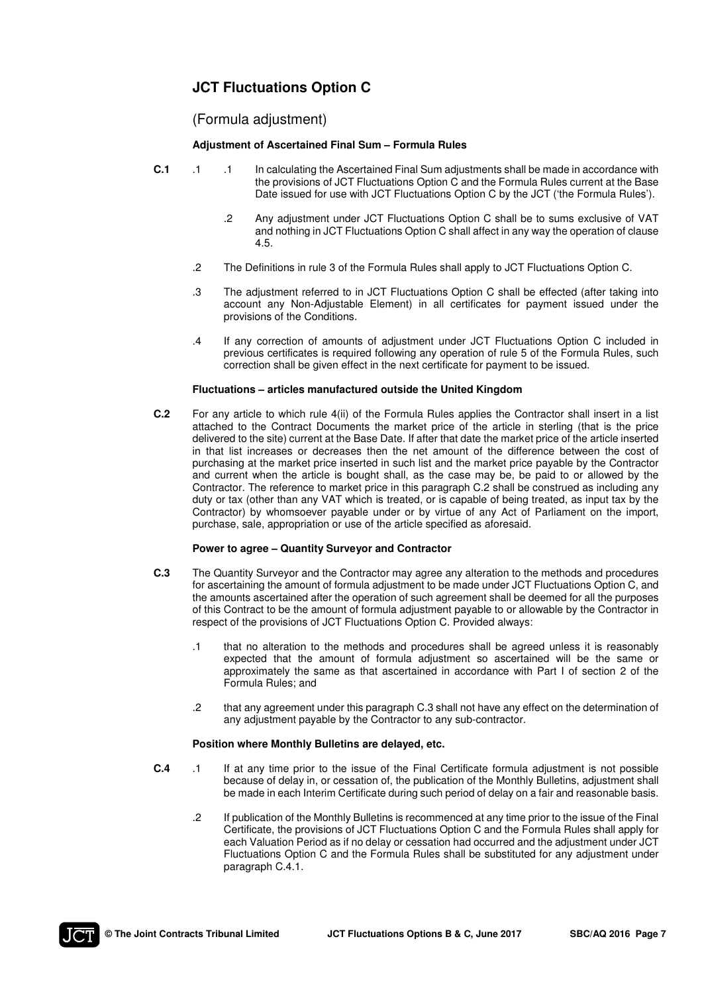# **JCT Fluctuations Option C**

# (Formula adjustment)

## **Adjustment of Ascertained Final Sum – Formula Rules**

- **C.1** .1 .1 In calculating the Ascertained Final Sum adjustments shall be made in accordance with the provisions of JCT Fluctuations Option C and the Formula Rules current at the Base Date issued for use with JCT Fluctuations Option C by the JCT ('the Formula Rules').
	- .2 Any adjustment under JCT Fluctuations Option C shall be to sums exclusive of VAT and nothing in JCT Fluctuations Option C shall affect in any way the operation of clause 4.5.
	- .2 The Definitions in rule 3 of the Formula Rules shall apply to JCT Fluctuations Option C.
	- .3 The adjustment referred to in JCT Fluctuations Option C shall be effected (after taking into account any Non-Adjustable Element) in all certificates for payment issued under the provisions of the Conditions.
	- .4 If any correction of amounts of adjustment under JCT Fluctuations Option C included in previous certificates is required following any operation of rule 5 of the Formula Rules, such correction shall be given effect in the next certificate for payment to be issued.

## **Fluctuations – articles manufactured outside the United Kingdom**

**C.2** For any article to which rule 4(ii) of the Formula Rules applies the Contractor shall insert in a list attached to the Contract Documents the market price of the article in sterling (that is the price delivered to the site) current at the Base Date. If after that date the market price of the article inserted in that list increases or decreases then the net amount of the difference between the cost of purchasing at the market price inserted in such list and the market price payable by the Contractor and current when the article is bought shall, as the case may be, be paid to or allowed by the Contractor. The reference to market price in this paragraph C.2 shall be construed as including any duty or tax (other than any VAT which is treated, or is capable of being treated, as input tax by the Contractor) by whomsoever payable under or by virtue of any Act of Parliament on the import, purchase, sale, appropriation or use of the article specified as aforesaid.

## **Power to agree – Quantity Surveyor and Contractor**

- **C.3** The Quantity Surveyor and the Contractor may agree any alteration to the methods and procedures for ascertaining the amount of formula adjustment to be made under JCT Fluctuations Option C, and the amounts ascertained after the operation of such agreement shall be deemed for all the purposes of this Contract to be the amount of formula adjustment payable to or allowable by the Contractor in respect of the provisions of JCT Fluctuations Option C. Provided always:
	- .1 that no alteration to the methods and procedures shall be agreed unless it is reasonably expected that the amount of formula adjustment so ascertained will be the same or approximately the same as that ascertained in accordance with Part I of section 2 of the Formula Rules; and
	- .2 that any agreement under this paragraph C.3 shall not have any effect on the determination of any adjustment payable by the Contractor to any sub-contractor.

#### **Position where Monthly Bulletins are delayed, etc.**

- **C.4** .1 If at any time prior to the issue of the Final Certificate formula adjustment is not possible because of delay in, or cessation of, the publication of the Monthly Bulletins, adjustment shall be made in each Interim Certificate during such period of delay on a fair and reasonable basis.
	- .2 If publication of the Monthly Bulletins is recommenced at any time prior to the issue of the Final Certificate, the provisions of JCT Fluctuations Option C and the Formula Rules shall apply for each Valuation Period as if no delay or cessation had occurred and the adjustment under JCT Fluctuations Option C and the Formula Rules shall be substituted for any adjustment under paragraph C.4.1.